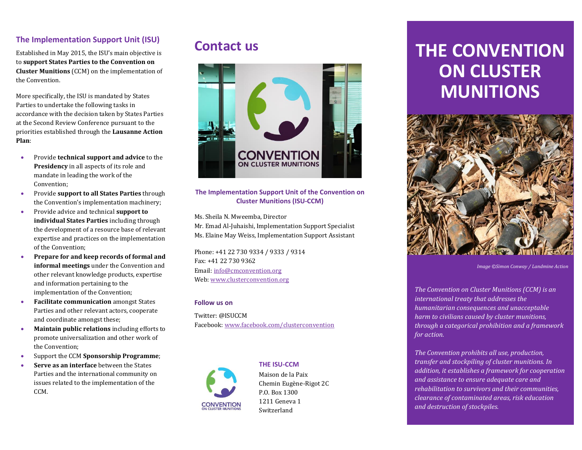# **The Implementation Support Unit (ISU)**

Established in May 2015, the ISU's main objective is to **support States Parties to the Convention on Cluster Munitions** (CCM) on the implementation of the Convention.

More specifically, the ISU is mandated by States Parties to undertake the following tasks in accordance with the decision taken by States Parties at the Second Review Conference pursuant to the priorities established through the **Lausanne Action Plan**:

- Provide **technical support and advice** to the **Presidency** in all aspects of its role and mandate in leading the work of the Convention;
- Provide **support to all States Parties** through the Convention's implementation machinery;
- Provide advice and technical **support to individual States Parties** including through the development of a resource base of relevant expertise and practices on the implementation of the Convention;
- **Prepare for and keep records of formal and informal meetings** under the Convention and other relevant knowledge products, expertise and information pertaining to the implementation of the Convention;
- **Facilitate communication** amongst States Parties and other relevant actors, cooperate and coordinate amongst these;
- **Maintain public relations** including efforts to promote universalization and other work of the Convention;
- Support the CCM **Sponsorship Programme**;
- **Serve as an interface** between the States Parties and the international community on issues related to the implementation of the CCM.

# **Contact us**



#### **The Implementation Support Unit of the Convention on Cluster Munitions (ISU-CCM)**

Ms. Sheila N. Mweemba, Director

Mr. Emad Al-Juhaishi, Implementation Support Specialist Ms. Elaine May Weiss, Implementation Support Assistant

Phone: +41 22 730 9334 / 9333 / 9314 Fax: +41 22 730 9362 Email: [info@cmconvention.org](mailto:info@cmconvention.org)  Web[: www.clusterconvention.org](http://www.clusterconvention.org/)

#### **Follow us on**

Twitter: @ISUCCM Facebook[: www.facebook.com/clusterconvention](http://www.facebook.com/clusterconvention)



**THE ISU-CCM** Maison de la Paix Chemin Eugène-Rigot 2C P.O. Box 1300 1211 Geneva 1 Switzerland

# **THE CONVENTION ON CLUSTER MUNITIONS**



*Image ©Simon Conway / Landmine Action*

*The Convention on Cluster Munitions (CCM) is an international treaty that addresses the humanitarian consequences and unacceptable harm to civilians caused by cluster munitions, through a categorical prohibition and a framework for action.*

*The Convention prohibits all use, production, transfer and stockpiling of cluster munitions. In addition, it establishes a framework for cooperation and assistance to ensure adequate care and rehabilitation to survivors and their communities, clearance of contaminated areas, risk education and destruction of stockpiles.*